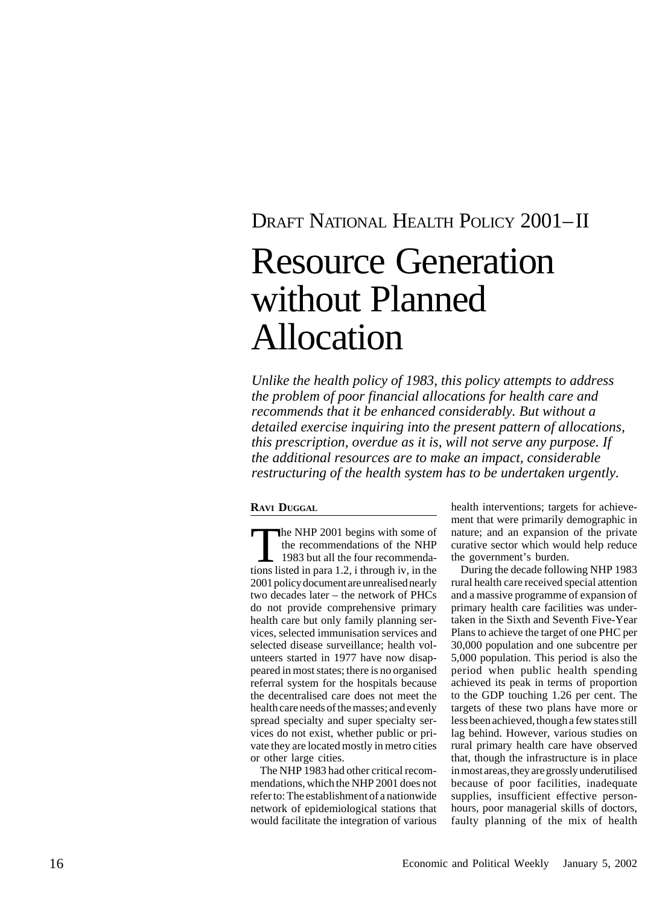# Resource Generation without Planned Allocation

*Unlike the health policy of 1983, this policy attempts to address the problem of poor financial allocations for health care and recommends that it be enhanced considerably. But without a detailed exercise inquiring into the present pattern of allocations, this prescription, overdue as it is, will not serve any purpose. If the additional resources are to make an impact, considerable restructuring of the health system has to be undertaken urgently.*

the recommendations of the NHP 1983 but all the four recommendations listed in para 1.2, i through iv, in the 2001 policy document are unrealised nearly two decades later – the network of PHCs do not provide comprehensive primary health care but only family planning services, selected immunisation services and selected disease surveillance; health volunteers started in 1977 have now disappeared in most states; there is no organised referral system for the hospitals because the decentralised care does not meet the health care needs of the masses; and evenly spread specialty and super specialty services do not exist, whether public or private they are located mostly in metro cities or other large cities. DRAFT NATIONAL HEALTH POLICY 2001–II<br> **Resource Control** Fourth (Search 100)<br>
Unlike the health policy of 1983, this policy attempts to add<br>
the problem of poor financial allocations for health care an<br>
detailed exercise

The NHP 1983 had other critical recommendations, which the NHP 2001 does not refer to: The establishment of a nationwide network of epidemiological stations that

health interventions; targets for achievement that were primarily demographic in nature; and an expansion of the private curative sector which would help reduce the government's burden.

16 Extra Duction.<br>
16 Economic ment that were primarily demographic in<br>
the NHP 2001 begins with some of mature; and an expansion of the private<br>
tons listed in para 1.2, i through iv, in the During the decade following NH During the decade following NHP 1983 rural health care received special attention and a massive programme of expansion of primary health care facilities was undertaken in the Sixth and Seventh Five-Year Plans to achieve the target of one PHC per 30,000 population and one subcentre per 5,000 population. This period is also the period when public health spending achieved its peak in terms of proportion to the GDP touching 1.26 per cent. The targets of these two plans have more or less been achieved, though a few states still lag behind. However, various studies on rural primary health care have observed that, though the infrastructure is in place in most areas, they are grossly underutilised because of poor facilities, inadequate supplies, insufficient effective personhours, poor managerial skills of doctors, faulty planning of the mix of health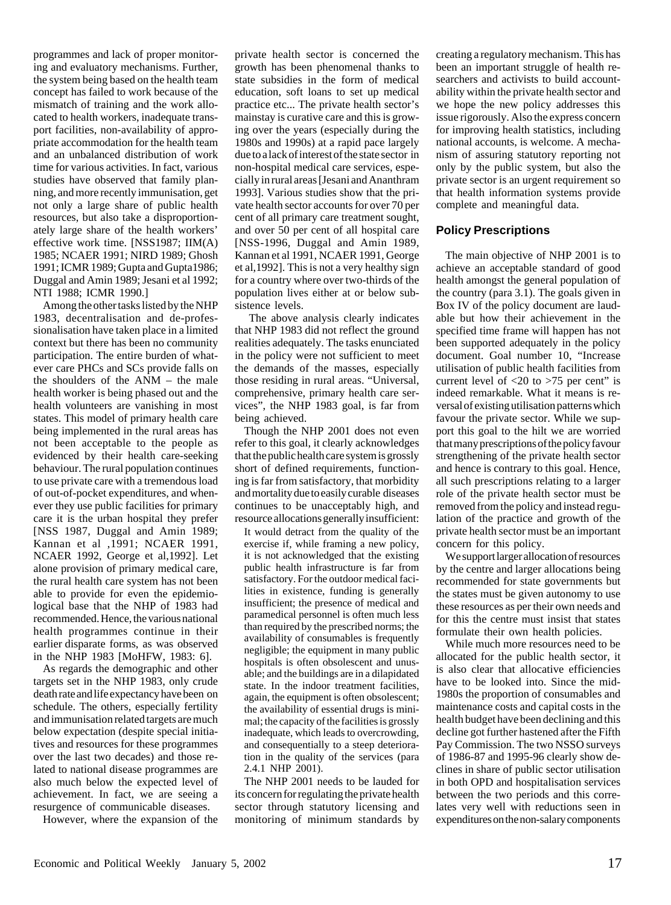programmes and lack of proper monitoring and evaluatory mechanisms. Further, the system being based on the health team concept has failed to work because of the mismatch of training and the work allocated to health workers, inadequate transport facilities, non-availability of appropriate accommodation for the health team and an unbalanced distribution of work time for various activities. In fact, various studies have observed that family planning, and more recently immunisation, get not only a large share of public health resources, but also take a disproportionately large share of the health workers' effective work time. [NSS1987; IIM(A) 1985; NCAER 1991; NIRD 1989; Ghosh 1991; ICMR 1989; Gupta and Gupta1986; Duggal and Amin 1989; Jesani et al 1992; NTI 1988; ICMR 1990.]

Among the other tasks listed by the NHP 1983, decentralisation and de-professionalisation have taken place in a limited context but there has been no community participation. The entire burden of whatever care PHCs and SCs provide falls on the shoulders of the ANM – the male health worker is being phased out and the health volunteers are vanishing in most states. This model of primary health care being implemented in the rural areas has not been acceptable to the people as evidenced by their health care-seeking behaviour. The rural population continues to use private care with a tremendous load of out-of-pocket expenditures, and whenever they use public facilities for primary care it is the urban hospital they prefer [NSS 1987, Duggal and Amin 1989; Kannan et al ,1991; NCAER 1991, NCAER 1992, George et al,1992]. Let alone provision of primary medical care, the rural health care system has not been able to provide for even the epidemiological base that the NHP of 1983 had recommended. Hence, the various national health programmes continue in their earlier disparate forms, as was observed in the NHP 1983 [MoHFW, 1983: 6].

As regards the demographic and other targets set in the NHP 1983, only crude death rate and life expectancy have been on schedule. The others, especially fertility and immunisation related targets are much below expectation (despite special initiatives and resources for these programmes over the last two decades) and those related to national disease programmes are also much below the expected level of achievement. In fact, we are seeing a resurgence of communicable diseases.

However, where the expansion of the

private health sector is concerned the growth has been phenomenal thanks to state subsidies in the form of medical education, soft loans to set up medical practice etc... The private health sector's mainstay is curative care and this is growing over the years (especially during the 1980s and 1990s) at a rapid pace largely due to a lack of interest of the state sector in non-hospital medical care services, especially in rural areas [Jesani and Ananthram 1993]. Various studies show that the private health sector accounts for over 70 per cent of all primary care treatment sought, and over 50 per cent of all hospital care [NSS-1996, Duggal and Amin 1989, Kannan et al 1991, NCAER 1991, George et al,1992]. This is not a very healthy sign for a country where over two-thirds of the population lives either at or below subsistence levels.

 The above analysis clearly indicates that NHP 1983 did not reflect the ground realities adequately. The tasks enunciated in the policy were not sufficient to meet the demands of the masses, especially those residing in rural areas. "Universal, comprehensive, primary health care services", the NHP 1983 goal, is far from being achieved.

Though the NHP 2001 does not even refer to this goal, it clearly acknowledges that the public health care system is grossly short of defined requirements, functioning is far from satisfactory, that morbidity and mortality due to easily curable diseases continues to be unacceptably high, and resource allocations generally insufficient: It would detract from the quality of the exercise if, while framing a new policy, it is not acknowledged that the existing public health infrastructure is far from satisfactory. For the outdoor medical facilities in existence, funding is generally insufficient; the presence of medical and paramedical personnel is often much less than required by the prescribed norms; the availability of consumables is frequently negligible; the equipment in many public hospitals is often obsolescent and unusable; and the buildings are in a dilapidated state. In the indoor treatment facilities, again, the equipment is often obsolescent; the availability of essential drugs is minimal; the capacity of the facilities is grossly inadequate, which leads to overcrowding, and consequentially to a steep deterioration in the quality of the services (para 2.4.1 NHP 2001).

The NHP 2001 needs to be lauded for its concern for regulating the private health sector through statutory licensing and monitoring of minimum standards by

creating a regulatory mechanism. This has been an important struggle of health researchers and activists to build accountability within the private health sector and we hope the new policy addresses this issue rigorously. Also the express concern for improving health statistics, including national accounts, is welcome. A mechanism of assuring statutory reporting not only by the public system, but also the private sector is an urgent requirement so that health information systems provide complete and meaningful data.

### **Policy Prescriptions**

The main objective of NHP 2001 is to achieve an acceptable standard of good health amongst the general population of the country (para 3.1). The goals given in Box IV of the policy document are laudable but how their achievement in the specified time frame will happen has not been supported adequately in the policy document. Goal number 10, "Increase utilisation of public health facilities from current level of  $\langle 20 \rangle$  to  $>75$  per cent" is indeed remarkable. What it means is reversal of existing utilisation patterns which favour the private sector. While we support this goal to the hilt we are worried that many prescriptions of the policy favour strengthening of the private health sector and hence is contrary to this goal. Hence, all such prescriptions relating to a larger role of the private health sector must be removed from the policy and instead regulation of the practice and growth of the private health sector must be an important concern for this policy.

We support larger allocation of resources by the centre and larger allocations being recommended for state governments but the states must be given autonomy to use these resources as per their own needs and for this the centre must insist that states formulate their own health policies.

While much more resources need to be allocated for the public health sector, it is also clear that allocative efficiencies have to be looked into. Since the mid-1980s the proportion of consumables and maintenance costs and capital costs in the health budget have been declining and this decline got further hastened after the Fifth Pay Commission. The two NSSO surveys of 1986-87 and 1995-96 clearly show declines in share of public sector utilisation in both OPD and hospitalisation services between the two periods and this correlates very well with reductions seen in expenditures on the non-salary components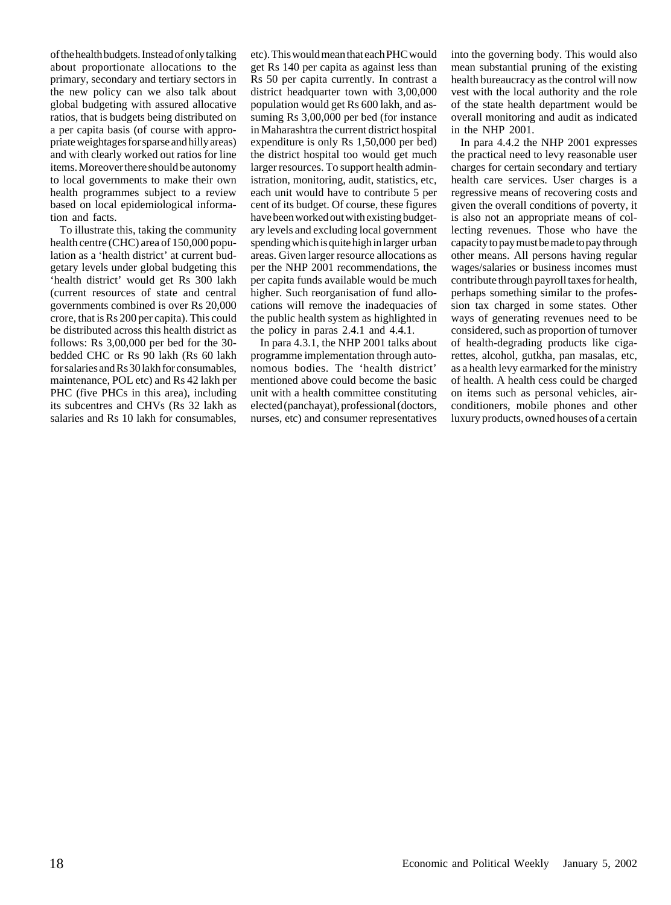of the health budgets. Instead of only talking about proportionate allocations to the primary, secondary and tertiary sectors in the new policy can we also talk about global budgeting with assured allocative ratios, that is budgets being distributed on a per capita basis (of course with appropriate weightages for sparse and hilly areas) and with clearly worked out ratios for line items. Moreover there should be autonomy to local governments to make their own health programmes subject to a review based on local epidemiological information and facts.

To illustrate this, taking the community health centre (CHC) area of 150,000 population as a 'health district' at current budgetary levels under global budgeting this 'health district' would get Rs 300 lakh (current resources of state and central governments combined is over Rs 20,000 crore, that is Rs 200 per capita). This could be distributed across this health district as follows: Rs 3,00,000 per bed for the 30 bedded CHC or Rs 90 lakh (Rs 60 lakh for salaries and Rs 30 lakh for consumables, maintenance, POL etc) and Rs 42 lakh per PHC (five PHCs in this area), including its subcentres and CHVs (Rs 32 lakh as salaries and Rs 10 lakh for consumables,

etc). This would mean that each PHC would get Rs 140 per capita as against less than Rs 50 per capita currently. In contrast a district headquarter town with 3,00,000 population would get Rs 600 lakh, and assuming Rs 3,00,000 per bed (for instance in Maharashtra the current district hospital expenditure is only Rs 1,50,000 per bed) the district hospital too would get much larger resources. To support health administration, monitoring, audit, statistics, etc, each unit would have to contribute 5 per cent of its budget. Of course, these figures have been worked out with existing budgetary levels and excluding local government spending which is quite high in larger urban areas. Given larger resource allocations as per the NHP 2001 recommendations, the per capita funds available would be much higher. Such reorganisation of fund allocations will remove the inadequacies of the public health system as highlighted in the policy in paras 2.4.1 and 4.4.1.

In para 4.3.1, the NHP 2001 talks about programme implementation through autonomous bodies. The 'health district' mentioned above could become the basic unit with a health committee constituting elected (panchayat), professional (doctors, nurses, etc) and consumer representatives into the governing body. This would also mean substantial pruning of the existing health bureaucracy as the control will now vest with the local authority and the role of the state health department would be overall monitoring and audit as indicated in the NHP 2001.

In para 4.4.2 the NHP 2001 expresses the practical need to levy reasonable user charges for certain secondary and tertiary health care services. User charges is a regressive means of recovering costs and given the overall conditions of poverty, it is also not an appropriate means of collecting revenues. Those who have the capacity to pay must be made to pay through other means. All persons having regular wages/salaries or business incomes must contribute through payroll taxes for health, perhaps something similar to the profession tax charged in some states. Other ways of generating revenues need to be considered, such as proportion of turnover of health-degrading products like cigarettes, alcohol, gutkha, pan masalas, etc, as a health levy earmarked for the ministry of health. A health cess could be charged on items such as personal vehicles, airconditioners, mobile phones and other luxury products, owned houses of a certain